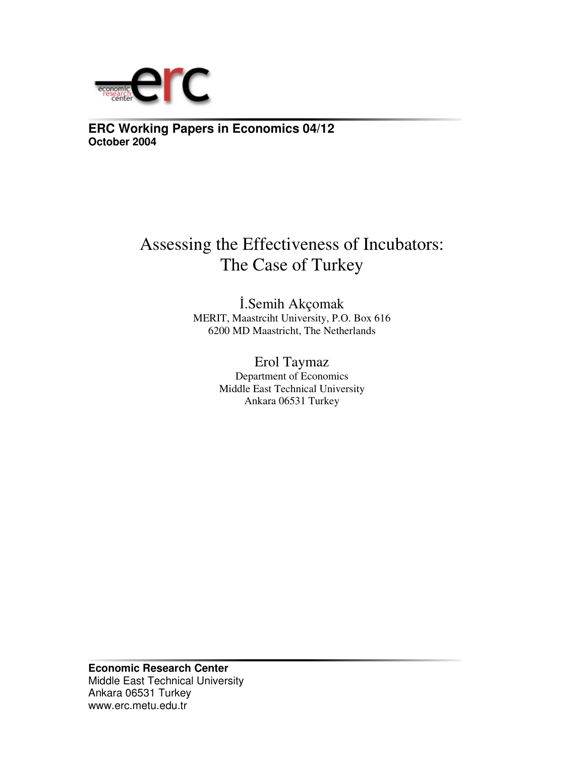

**ERC Working Papers in Economics 04/12 October 2004**

# Assessing the Effectiveness of Incubators: The Case of Turkey

.Semih Akçomak MERIT, Maastrciht University, P.O. Box 616 6200 MD Maastricht, The Netherlands

> Erol Taymaz Department of Economics Middle East Technical University Ankara 06531 Turkey

**Economic Research Center** Middle East Technical University Ankara 06531 Turkey www.erc.metu.edu.tr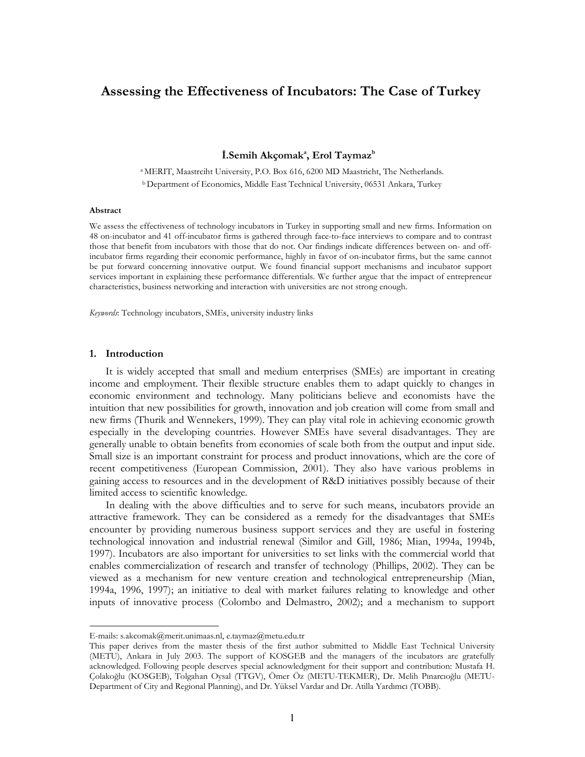## Assessing the Effectiveness of Incubators: The Case of Turkey

İ.Semih Akçomak<sup>a</sup>, Erol Taymaz<sup>b</sup>

<sup>a</sup> MERIT, Maastrciht University, P.O. Box 616, 6200 MD Maastricht, The Netherlands. <sup>b</sup> Department of Economics, Middle East Technical University, 06531 Ankara, Turkey

#### Abstract

We assess the effectiveness of technology incubators in Turkey in supporting small and new firms. Information on 48 on-incubator and 41 off-incubator firms is gathered through face-to-face interviews to compare and to contrast those that benefit from incubators with those that do not. Our findings indicate differences between on- and offincubator firms regarding their economic performance, highly in favor of on-incubator firms, but the same cannot be put forward concerning innovative output. We found financial support mechanisms and incubator support services important in explaining these performance differentials. We further argue that the impact of entrepreneur characteristics, business networking and interaction with universities are not strong enough.

Keywords: Technology incubators, SMEs, university industry links

## 1. Introduction

It is widely accepted that small and medium enterprises (SMEs) are important in creating income and employment. Their flexible structure enables them to adapt quickly to changes in economic environment and technology. Many politicians believe and economists have the intuition that new possibilities for growth, innovation and job creation will come from small and new firms (Thurik and Wennekers, 1999). They can play vital role in achieving economic growth especially in the developing countries. However SMEs have several disadvantages. They are generally unable to obtain benefits from economies of scale both from the output and input side. Small size is an important constraint for process and product innovations, which are the core of recent competitiveness (European Commission, 2001). They also have various problems in gaining access to resources and in the development of R&D initiatives possibly because of their limited access to scientific knowledge.

In dealing with the above difficulties and to serve for such means, incubators provide an attractive framework. They can be considered as a remedy for the disadvantages that SMEs encounter by providing numerous business support services and they are useful in fostering technological innovation and industrial renewal (Similor and Gill, 1986; Mian, 1994a, 1994b, 1997). Incubators are also important for universities to set links with the commercial world that enables commercialization of research and transfer of technology (Phillips, 2002). They can be viewed as a mechanism for new venture creation and technological entrepreneurship (Mian, 1994a, 1996, 1997); an initiative to deal with market failures relating to knowledge and other inputs of innovative process (Colombo and Delmastro, 2002); and a mechanism to support

E-mails: s.akcomak@merit.unimaas.nl, e.taymaz@metu.edu.tr

This paper derives from the master thesis of the first author submitted to Middle East Technical University (METU), Ankara in July 2003. The support of KOSGEB and the managers of the incubators are gratefully acknowledged. Following people deserves special acknowledgment for their support and contribution: Mustafa H. Çolakoğlu (KOSGEB), Tolgahan Oysal (TTGV), Ömer Öz (METU-TEKMER), Dr. Melih Pınarcıoğlu (METU-Department of City and Regional Planning), and Dr. Yüksel Vardar and Dr. Atilla Yardımcı (TOBB).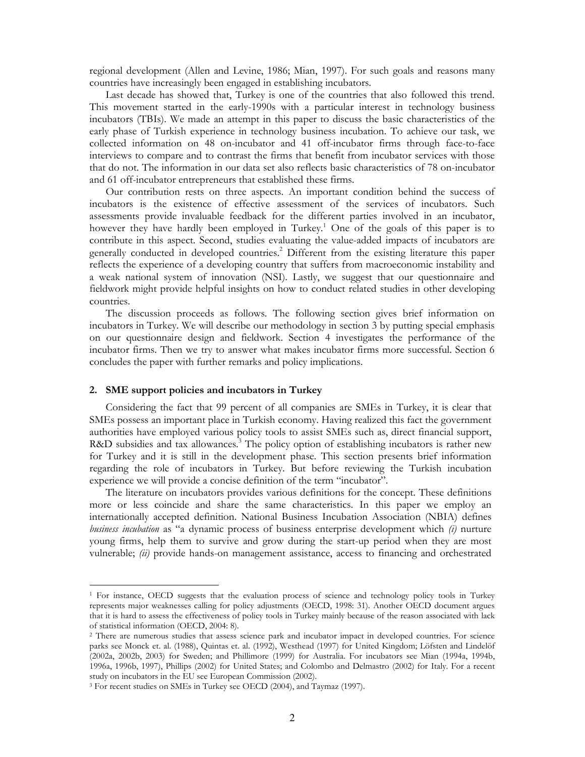regional development (Allen and Levine, 1986; Mian, 1997). For such goals and reasons many countries have increasingly been engaged in establishing incubators.

Last decade has showed that, Turkey is one of the countries that also followed this trend. This movement started in the early-1990s with a particular interest in technology business incubators (TBIs). We made an attempt in this paper to discuss the basic characteristics of the early phase of Turkish experience in technology business incubation. To achieve our task, we collected information on 48 on-incubator and 41 off-incubator firms through face-to-face interviews to compare and to contrast the firms that benefit from incubator services with those that do not. The information in our data set also reflects basic characteristics of 78 on-incubator and 61 off-incubator entrepreneurs that established these firms.

Our contribution rests on three aspects. An important condition behind the success of incubators is the existence of effective assessment of the services of incubators. Such assessments provide invaluable feedback for the different parties involved in an incubator, however they have hardly been employed in Turkey.<sup>1</sup> One of the goals of this paper is to contribute in this aspect. Second, studies evaluating the value-added impacts of incubators are generally conducted in developed countries.<sup>2</sup> Different from the existing literature this paper reflects the experience of a developing country that suffers from macroeconomic instability and a weak national system of innovation (NSI). Lastly, we suggest that our questionnaire and fieldwork might provide helpful insights on how to conduct related studies in other developing countries.

The discussion proceeds as follows. The following section gives brief information on incubators in Turkey. We will describe our methodology in section 3 by putting special emphasis on our questionnaire design and fieldwork. Section 4 investigates the performance of the incubator firms. Then we try to answer what makes incubator firms more successful. Section 6 concludes the paper with further remarks and policy implications.

## 2. SME support policies and incubators in Turkey

Considering the fact that 99 percent of all companies are SMEs in Turkey, it is clear that SMEs possess an important place in Turkish economy. Having realized this fact the government authorities have employed various policy tools to assist SMEs such as, direct financial support, R&D subsidies and tax allowances.<sup>3</sup> The policy option of establishing incubators is rather new for Turkey and it is still in the development phase. This section presents brief information regarding the role of incubators in Turkey. But before reviewing the Turkish incubation experience we will provide a concise definition of the term "incubator".

The literature on incubators provides various definitions for the concept. These definitions more or less coincide and share the same characteristics. In this paper we employ an internationally accepted definition. National Business Incubation Association (NBIA) defines *business incubation* as "a dynamic process of business enterprise development which *(i)* nurture young firms, help them to survive and grow during the start-up period when they are most vulnerable; (ii) provide hands-on management assistance, access to financing and orchestrated

<sup>&</sup>lt;sup>1</sup> For instance, OECD suggests that the evaluation process of science and technology policy tools in Turkey represents major weaknesses calling for policy adjustments (OECD, 1998: 31). Another OECD document argues that it is hard to assess the effectiveness of policy tools in Turkey mainly because of the reason associated with lack of statistical information (OECD, 2004: 8).

<sup>&</sup>lt;sup>2</sup> There are numerous studies that assess science park and incubator impact in developed countries. For science parks see Monck et. al. (1988), Quintas et. al. (1992), Westhead (1997) for United Kingdom; Löfsten and Lindelöf (2002a, 2002b, 2003) for Sweden; and Phillimore (1999) for Australia. For incubators see Mian (1994a, 1994b, 1996a, 1996b, 1997), Phillips (2002) for United States; and Colombo and Delmastro (2002) for Italy. For a recent study on incubators in the EU see European Commission (2002).

<sup>&</sup>lt;sup>3</sup> For recent studies on SMEs in Turkey see OECD (2004), and Taymaz (1997).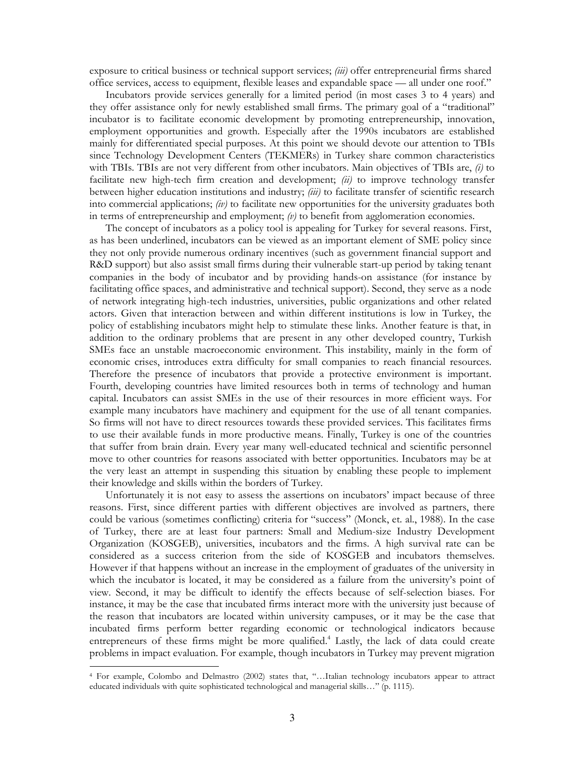exposure to critical business or technical support services; *(iii)* offer entrepreneurial firms shared office services, access to equipment, flexible leases and expandable space — all under one roof."

Incubators provide services generally for a limited period (in most cases 3 to 4 years) and they offer assistance only for newly established small firms. The primary goal of a "traditional" incubator is to facilitate economic development by promoting entrepreneurship, innovation, employment opportunities and growth. Especially after the 1990s incubators are established mainly for differentiated special purposes. At this point we should devote our attention to TBIs since Technology Development Centers (TEKMERs) in Turkey share common characteristics with TBIs. TBIs are not very different from other incubators. Main objectives of TBIs are,  $(i)$  to facilitate new high-tech firm creation and development;  $\langle ii \rangle$  to improve technology transfer between higher education institutions and industry; (iii) to facilitate transfer of scientific research into commercial applications;  $\langle iv \rangle$  to facilitate new opportunities for the university graduates both in terms of entrepreneurship and employment;  $\langle v \rangle$  to benefit from agglomeration economies.

The concept of incubators as a policy tool is appealing for Turkey for several reasons. First, as has been underlined, incubators can be viewed as an important element of SME policy since they not only provide numerous ordinary incentives (such as government financial support and R&D support) but also assist small firms during their vulnerable start-up period by taking tenant companies in the body of incubator and by providing hands-on assistance (for instance by facilitating office spaces, and administrative and technical support). Second, they serve as a node of network integrating high-tech industries, universities, public organizations and other related actors. Given that interaction between and within different institutions is low in Turkey, the policy of establishing incubators might help to stimulate these links. Another feature is that, in addition to the ordinary problems that are present in any other developed country, Turkish SMEs face an unstable macroeconomic environment. This instability, mainly in the form of economic crises, introduces extra difficulty for small companies to reach financial resources. Therefore the presence of incubators that provide a protective environment is important. Fourth, developing countries have limited resources both in terms of technology and human capital. Incubators can assist SMEs in the use of their resources in more efficient ways. For example many incubators have machinery and equipment for the use of all tenant companies. So firms will not have to direct resources towards these provided services. This facilitates firms to use their available funds in more productive means. Finally, Turkey is one of the countries that suffer from brain drain. Every year many well-educated technical and scientific personnel move to other countries for reasons associated with better opportunities. Incubators may be at the very least an attempt in suspending this situation by enabling these people to implement their knowledge and skills within the borders of Turkey.

Unfortunately it is not easy to assess the assertions on incubators' impact because of three reasons. First, since different parties with different objectives are involved as partners, there could be various (sometimes conflicting) criteria for "success" (Monck, et. al., 1988). In the case of Turkey, there are at least four partners: Small and Medium-size Industry Development Organization (KOSGEB), universities, incubators and the firms. A high survival rate can be considered as a success criterion from the side of KOSGEB and incubators themselves. However if that happens without an increase in the employment of graduates of the university in which the incubator is located, it may be considered as a failure from the university's point of view. Second, it may be difficult to identify the effects because of self-selection biases. For instance, it may be the case that incubated firms interact more with the university just because of the reason that incubators are located within university campuses, or it may be the case that incubated firms perform better regarding economic or technological indicators because entrepreneurs of these firms might be more qualified.<sup>4</sup> Lastly, the lack of data could create problems in impact evaluation. For example, though incubators in Turkey may prevent migration

<sup>&</sup>lt;sup>4</sup> For example, Colombo and Delmastro (2002) states that, "...Italian technology incubators appear to attract educated individuals with quite sophisticated technological and managerial skills..." (p. 1115).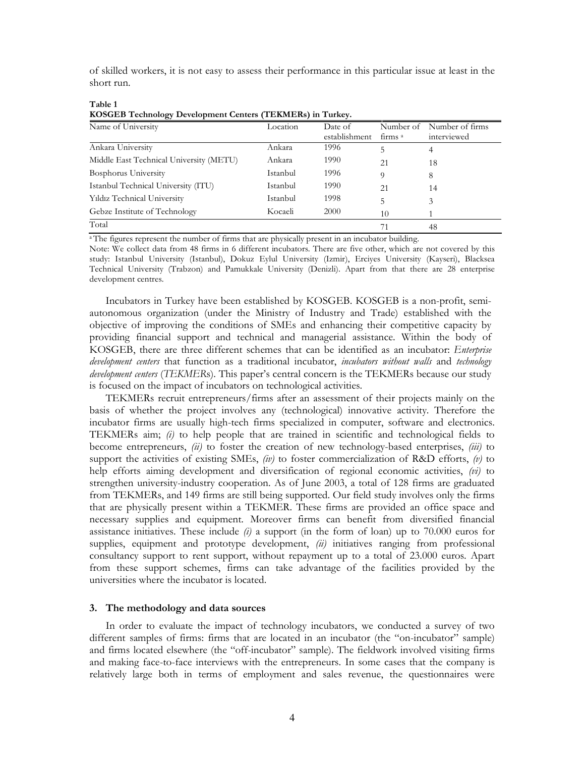of skilled workers, it is not easy to assess their performance in this particular issue at least in the short run.

| KOSGEB Technology Development Centers (TEKMERS) in Turkey. |          |               |            |                 |  |  |  |  |
|------------------------------------------------------------|----------|---------------|------------|-----------------|--|--|--|--|
| Name of University                                         | Location | Date of       | Number of  | Number of firms |  |  |  |  |
|                                                            |          | establishment | $\lim_{a}$ | interviewed     |  |  |  |  |
| Ankara University                                          | Ankara   | 1996          |            | 4               |  |  |  |  |
| Middle East Technical University (METU)                    | Ankara   | 1990          | 21         | 18              |  |  |  |  |
| Bosphorus University                                       | Istanbul | 1996          | 9          | 8               |  |  |  |  |
| Istanbul Technical University (ITU)                        | Istanbul | 1990          | 21         | 14              |  |  |  |  |
| Yıldız Technical University                                | Istanbul | 1998          | 5.         | 3               |  |  |  |  |
| Gebze Institute of Technology                              | Kocaeli  | 2000          | 10         |                 |  |  |  |  |
| Total                                                      |          |               | 71         | 48              |  |  |  |  |

| Table 1 |                                                                   |  |
|---------|-------------------------------------------------------------------|--|
|         | <b>KOSGEB Technology Development Centers (TEKMERs) in Turkey.</b> |  |

<sup>a</sup> The figures represent the number of firms that are physically present in an incubator building.

Note: We collect data from 48 firms in 6 different incubators. There are five other, which are not covered by this study: Istanbul University (Istanbul), Dokuz Eylul University (Izmir), Erciyes University (Kayseri), Blacksea Technical University (Trabzon) and Pamukkale University (Denizli). Apart from that there are 28 enterprise development centres.

Incubators in Turkey have been established by KOSGEB. KOSGEB is a non-profit, semiautonomous organization (under the Ministry of Industry and Trade) established with the objective of improving the conditions of SMEs and enhancing their competitive capacity by providing financial support and technical and managerial assistance. Within the body of KOSGEB, there are three different schemes that can be identified as an incubator: Enterprise development centers that function as a traditional incubator, incubators without walls and technology development centers (TEKMERs). This paper's central concern is the TEKMERs because our study is focused on the impact of incubators on technological activities.

TEKMERs recruit entrepreneurs/firms after an assessment of their projects mainly on the basis of whether the project involves any (technological) innovative activity. Therefore the incubator firms are usually high-tech firms specialized in computer, software and electronics. TEKMERs aim;  $(i)$  to help people that are trained in scientific and technological fields to become entrepreneurs,  $(ii)$  to foster the creation of new technology-based enterprises,  $(iii)$  to support the activities of existing SMEs, (iv) to foster commercialization of R&D efforts, (v) to help efforts aiming development and diversification of regional economic activities,  $(vi)$  to strengthen university-industry cooperation. As of June 2003, a total of 128 firms are graduated from TEKMERs, and 149 firms are still being supported. Our field study involves only the firms that are physically present within a TEKMER. These firms are provided an office space and necessary supplies and equipment. Moreover firms can benefit from diversified financial assistance initiatives. These include  $(i)$  a support (in the form of loan) up to 70.000 euros for supplies, equipment and prototype development,  $\langle ii \rangle$  initiatives ranging from professional consultancy support to rent support, without repayment up to a total of 23.000 euros. Apart from these support schemes, firms can take advantage of the facilities provided by the universities where the incubator is located.

## 3. The methodology and data sources

In order to evaluate the impact of technology incubators, we conducted a survey of two different samples of firms: firms that are located in an incubator (the "on-incubator" sample) and firms located elsewhere (the "off-incubator" sample). The fieldwork involved visiting firms and making face-to-face interviews with the entrepreneurs. In some cases that the company is relatively large both in terms of employment and sales revenue, the questionnaires were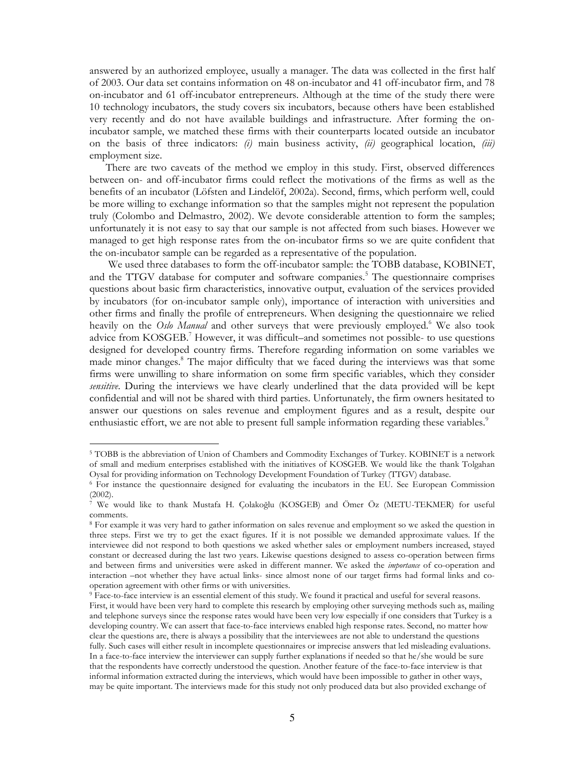answered by an authorized employee, usually a manager. The data was collected in the first half of 2003. Our data set contains information on 48 on-incubator and 41 off-incubator firm, and 78 on-incubator and 61 off-incubator entrepreneurs. Although at the time of the study there were 10 technology incubators, the study covers six incubators, because others have been established very recently and do not have available buildings and infrastructure. After forming the onincubator sample, we matched these firms with their counterparts located outside an incubator on the basis of three indicators: (i) main business activity, (ii) geographical location, (iii) employment size.

There are two caveats of the method we employ in this study. First, observed differences between on- and off-incubator firms could reflect the motivations of the firms as well as the benefits of an incubator (Löfsten and Lindelöf, 2002a). Second, firms, which perform well, could be more willing to exchange information so that the samples might not represent the population truly (Colombo and Delmastro, 2002). We devote considerable attention to form the samples; unfortunately it is not easy to say that our sample is not affected from such biases. However we managed to get high response rates from the on-incubator firms so we are quite confident that the on-incubator sample can be regarded as a representative of the population.

We used three databases to form the off-incubator sample: the TOBB database, KOBINET, and the TTGV database for computer and software companies.<sup>5</sup> The questionnaire comprises questions about basic firm characteristics, innovative output, evaluation of the services provided by incubators (for on-incubator sample only), importance of interaction with universities and other firms and finally the profile of entrepreneurs. When designing the questionnaire we relied heavily on the Oslo Manual and other surveys that were previously employed.<sup>6</sup> We also took advice from KOSGEB.<sup>7</sup> However, it was difficult–and sometimes not possible- to use questions designed for developed country firms. Therefore regarding information on some variables we made minor changes.<sup>8</sup> The major difficulty that we faced during the interviews was that some firms were unwilling to share information on some firm specific variables, which they consider sensitive. During the interviews we have clearly underlined that the data provided will be kept confidential and will not be shared with third parties. Unfortunately, the firm owners hesitated to answer our questions on sales revenue and employment figures and as a result, despite our enthusiastic effort, we are not able to present full sample information regarding these variables.<sup>9</sup>

<sup>&</sup>lt;sup>5</sup> TOBB is the abbreviation of Union of Chambers and Commodity Exchanges of Turkey. KOBINET is a network of small and medium enterprises established with the initiatives of KOSGEB. We would like the thank Tolgahan Oysal for providing information on Technology Development Foundation of Turkey (TTGV) database.

<sup>&</sup>lt;sup>6</sup> For instance the questionnaire designed for evaluating the incubators in the EU. See European Commission  $(2002).$ 

We would like to thank Mustafa H. Çolakoğlu (KOSGEB) and Ömer Öz (METU-TEKMER) for useful comments.

<sup>&</sup>lt;sup>8</sup> For example it was very hard to gather information on sales revenue and employment so we asked the question in three steps. First we try to get the exact figures. If it is not possible we demanded approximate values. If the interviewee did not respond to both questions we asked whether sales or employment numbers increased, stayed constant or decreased during the last two years. Likewise questions designed to assess co-operation between firms and between firms and universities were asked in different manner. We asked the *importance* of co-operation and interaction –not whether they have actual links- since almost none of our target firms had formal links and cooperation agreement with other firms or with universities.

<sup>&</sup>lt;sup>9</sup> Face-to-face interview is an essential element of this study. We found it practical and useful for several reasons. First, it would have been very hard to complete this research by employing other surveying methods such as, mailing and telephone surveys since the response rates would have been very low especially if one considers that Turkey is a developing country. We can assert that face-to-face interviews enabled high response rates. Second, no matter how clear the questions are, there is always a possibility that the interviewees are not able to understand the questions fully. Such cases will either result in incomplete questionnaires or imprecise answers that led misleading evaluations. In a face-to-face interview the interviewer can supply further explanations if needed so that he/she would be sure that the respondents have correctly understood the question. Another feature of the face-to-face interview is that informal information extracted during the interviews, which would have been impossible to gather in other ways, may be quite important. The interviews made for this study not only produced data but also provided exchange of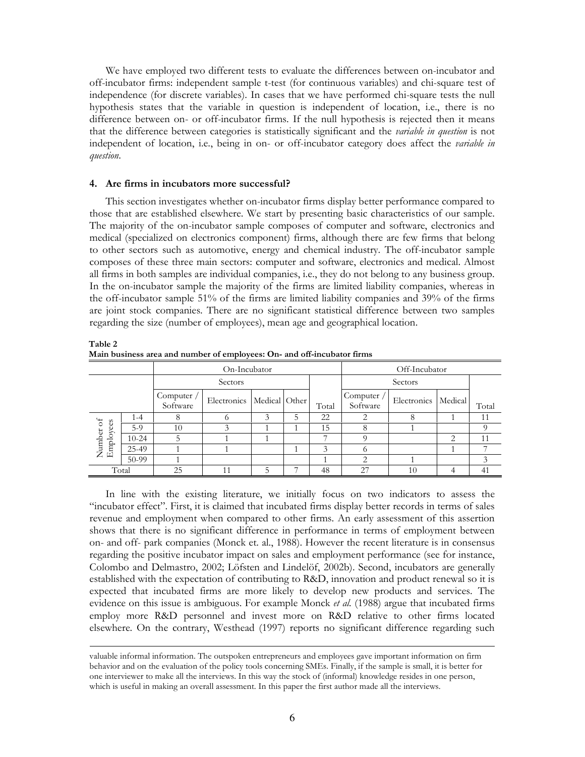We have employed two different tests to evaluate the differences between on-incubator and off-incubator firms: independent sample t-test (for continuous variables) and chi-square test of independence (for discrete variables). In cases that we have performed chi-square tests the null hypothesis states that the variable in question is independent of location, i.e., there is no difference between on- or off-incubator firms. If the null hypothesis is rejected then it means that the difference between categories is statistically significant and the *variable in question* is not independent of location, i.e., being in on- or off-incubator category does affect the *variable in* question.

## 4. Are firms in incubators more successful?

This section investigates whether on-incubator firms display better performance compared to those that are established elsewhere. We start by presenting basic characteristics of our sample. The majority of the on-incubator sample composes of computer and software, electronics and medical (specialized on electronics component) firms, although there are few firms that belong to other sectors such as automotive, energy and chemical industry. The off-incubator sample composes of these three main sectors: computer and software, electronics and medical. Almost all firms in both samples are individual companies, i.e., they do not belong to any business group. In the on-incubator sample the majority of the firms are limited liability companies, whereas in the off-incubator sample 51% of the firms are limited liability companies and 39% of the firms are joint stock companies. There are no significant statistical difference between two samples regarding the size (number of employees), mean age and geographical location.

|                        |           | On-Incubator           |                               |         |   |                             | Off-Incubator                   |             |         |               |
|------------------------|-----------|------------------------|-------------------------------|---------|---|-----------------------------|---------------------------------|-------------|---------|---------------|
| Sectors                |           |                        |                               | Sectors |   |                             |                                 |             |         |               |
|                        |           | Computer /<br>Software | Electronics   Medical   Other |         |   | Total                       | Computer $\sqrt{ }$<br>Software | Electronics | Medical | Total         |
|                        | $1 - 4$   | 8                      |                               | 3       | 5 | 22                          | ◠                               | 8           |         | 11            |
| Number of<br>Employees | $5-9$     | 10                     |                               |         |   | 15                          | 8                               |             |         |               |
|                        | $10 - 24$ |                        |                               |         |   |                             | $\Omega$                        |             | っ       | 11            |
|                        | 25-49     |                        |                               |         |   | $\mathcal{R}_{\mathcal{A}}$ | O)                              |             |         |               |
|                        | 50-99     |                        |                               |         |   |                             | ◠                               |             |         | $\mathcal{Z}$ |
| Total                  |           | 25                     | 11                            | 5       |   | 48                          | 27                              | 10          |         | 41            |

Table 2 Main business area and number of employees: On- and off-incubator firms

In line with the existing literature, we initially focus on two indicators to assess the "incubator effect". First, it is claimed that incubated firms display better records in terms of sales revenue and employment when compared to other firms. An early assessment of this assertion shows that there is no significant difference in performance in terms of employment between on- and off- park companies (Monck et. al., 1988). However the recent literature is in consensus regarding the positive incubator impact on sales and employment performance (see for instance, Colombo and Delmastro, 2002; Löfsten and Lindelöf, 2002b). Second, incubators are generally established with the expectation of contributing to R&D, innovation and product renewal so it is expected that incubated firms are more likely to develop new products and services. The evidence on this issue is ambiguous. For example Monck *et al.* (1988) argue that incubated firms employ more R&D personnel and invest more on R&D relative to other firms located elsewhere. On the contrary, Westhead (1997) reports no significant difference regarding such

valuable informal information. The outspoken entrepreneurs and employees gave important information on firm behavior and on the evaluation of the policy tools concerning SMEs. Finally, if the sample is small, it is better for one interviewer to make all the interviews. In this way the stock of (informal) knowledge resides in one person, which is useful in making an overall assessment. In this paper the first author made all the interviews.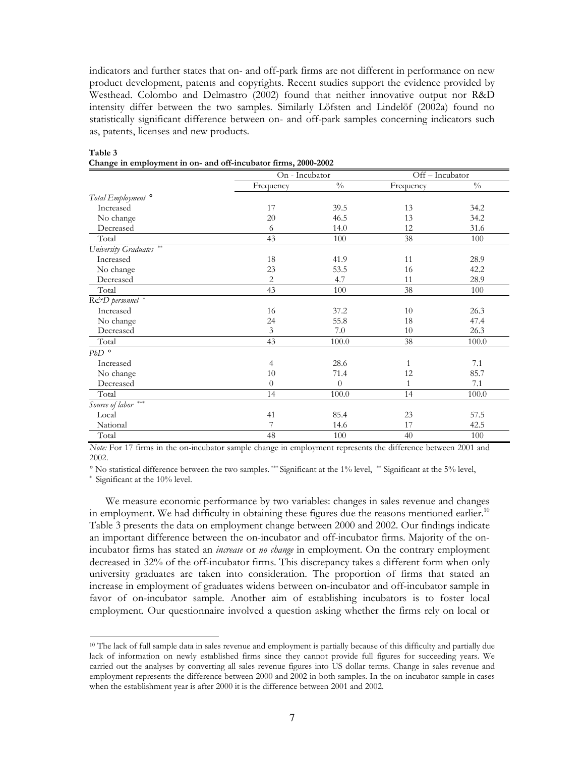indicators and further states that on- and off-park firms are not different in performance on new product development, patents and copyrights. Recent studies support the evidence provided by Westhead. Colombo and Delmastro (2002) found that neither innovative output nor R&D intensity differ between the two samples. Similarly Löfsten and Lindelöf (2002a) found no statistically significant difference between on- and off-park samples concerning indicators such as, patents, licenses and new products.

|                               | On - Incubator |               | Off-Incubator   |               |
|-------------------------------|----------------|---------------|-----------------|---------------|
|                               | Frequency      | $\frac{0}{0}$ | Frequency       | $\frac{0}{0}$ |
| Total Employment <sup>o</sup> |                |               |                 |               |
| Increased                     | 17             | 39.5          | 13              | 34.2          |
| No change                     | 20             | 46.5          | 13              | 34.2          |
| Decreased                     | 6              | 14.0          | 12              | 31.6          |
| Total                         | 43             | 100           | $\overline{38}$ | 100           |
| University Graduates **       |                |               |                 |               |
| Increased                     | 18             | 41.9          | 11              | 28.9          |
| No change                     | 23             | 53.5          | 16              | 42.2          |
| Decreased                     | $\overline{c}$ | 4.7           | 11              | 28.9          |
| Total                         | 43             | 100           | 38              | 100           |
| R&D personnel *               |                |               |                 |               |
| Increased                     | 16             | 37.2          | 10              | 26.3          |
| No change                     | 24             | 55.8          | 18              | 47.4          |
| Decreased                     | $\mathfrak{Z}$ | 7.0           | 10              | 26.3          |
| Total                         | 43             | 100.0         | 38              | 100.0         |
| $PbD$ $\circ$                 |                |               |                 |               |
| Increased                     | $\overline{4}$ | 28.6          | 1               | 7.1           |
| No change                     | 10             | 71.4          | 12              | 85.7          |
| Decreased                     | $\theta$       | $\theta$      | $\mathbf{1}$    | 7.1           |
| Total                         | 14             | 100.0         | 14              | $100.0\,$     |
| Source of labor ***           |                |               |                 |               |
| Local                         | 41             | 85.4          | 23              | 57.5          |
| National                      | 7              | 14.6          | 17              | 42.5          |
| Total                         | 48             | 100           | 40              | 100           |

## Table 3 Change in employment in on- and off-incubator firms. 2000-2002

Note: For 17 firms in the on-incubator sample change in employment represents the difference between 2001 and 2002

° No statistical difference between the two samples. \*\*\* Significant at the 1% level, \*\* Significant at the 5% level,

\* Significant at the 10% level.

We measure economic performance by two variables: changes in sales revenue and changes in employment. We had difficulty in obtaining these figures due the reasons mentioned earlier.<sup>10</sup> Table 3 presents the data on employment change between 2000 and 2002. Our findings indicate an important difference between the on-incubator and off-incubator firms. Majority of the onincubator firms has stated an *increase* or *no change* in employment. On the contrary employment decreased in 32% of the off-incubator firms. This discrepancy takes a different form when only university graduates are taken into consideration. The proportion of firms that stated an increase in employment of graduates widens between on-incubator and off-incubator sample in favor of on-incubator sample. Another aim of establishing incubators is to foster local employment. Our questionnaire involved a question asking whether the firms rely on local or

<sup>&</sup>lt;sup>10</sup> The lack of full sample data in sales revenue and employment is partially because of this difficulty and partially due lack of information on newly established firms since they cannot provide full figures for succeeding years. We carried out the analyses by converting all sales revenue figures into US dollar terms. Change in sales revenue and employment represents the difference between 2000 and 2002 in both samples. In the on-incubator sample in cases when the establishment year is after 2000 it is the difference between 2001 and 2002.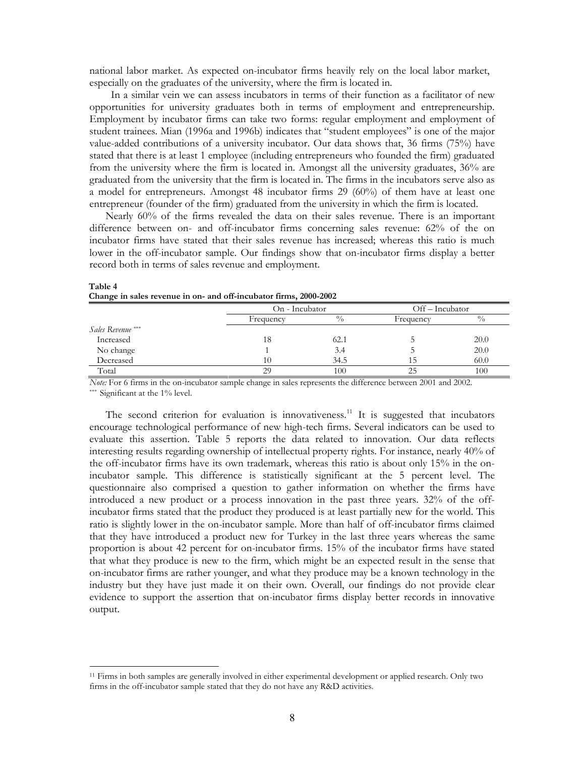national labor market. As expected on-incubator firms heavily rely on the local labor market, especially on the graduates of the university, where the firm is located in.

In a similar vein we can assess incubators in terms of their function as a facilitator of new opportunities for university graduates both in terms of employment and entrepreneurship. Employment by incubator firms can take two forms: regular employment and employment of student trainees. Mian (1996a and 1996b) indicates that "student employees" is one of the major value-added contributions of a university incubator. Our data shows that, 36 firms (75%) have stated that there is at least 1 employee (including entrepreneurs who founded the firm) graduated from the university where the firm is located in. Amongst all the university graduates, 36% are graduated from the university that the firm is located in. The firms in the incubators serve also as a model for entrepreneurs. Amongst 48 incubator firms 29  $(60\%)$  of them have at least one entrepreneur (founder of the firm) graduated from the university in which the firm is located.

Nearly 60% of the firms revealed the data on their sales revenue. There is an important difference between on- and off-incubator firms concerning sales revenue: 62% of the on incubator firms have stated that their sales revenue has increased; whereas this ratio is much lower in the off-incubator sample. Our findings show that on-incubator firms display a better record both in terms of sales revenue and employment.

|                   | On - Incubator |               | Off – Incubator |             |  |
|-------------------|----------------|---------------|-----------------|-------------|--|
|                   | Frequency      | $\frac{0}{0}$ | Frequency       | $^{0}/_{0}$ |  |
| Sales Revenue *** |                |               |                 |             |  |
| Increased         | 18             | 62.1          |                 | 20.0        |  |
| No change         |                | 3.4           |                 | 20.0        |  |
| Decreased         | 10             | 34.5          | 15              | 60.0        |  |
| Total             | 29             | 100           | 25              | 100         |  |

Table 4 Change in sales revenue in on- and off-incubator firms, 2000-2002

Note: For 6 firms in the on-incubator sample change in sales represents the difference between 2001 and 2002.

\*\*\* Significant at the 1% level.

The second criterion for evaluation is innovativeness.<sup>11</sup> It is suggested that incubators encourage technological performance of new high-tech firms. Several indicators can be used to evaluate this assertion. Table 5 reports the data related to innovation. Our data reflects interesting results regarding ownership of intellectual property rights. For instance, nearly 40% of the off-incubator firms have its own trademark, whereas this ratio is about only 15% in the onincubator sample. This difference is statistically significant at the 5 percent level. The questionnaire also comprised a question to gather information on whether the firms have introduced a new product or a process innovation in the past three years. 32% of the offincubator firms stated that the product they produced is at least partially new for the world. This ratio is slightly lower in the on-incubator sample. More than half of off-incubator firms claimed that they have introduced a product new for Turkey in the last three years whereas the same proportion is about 42 percent for on-incubator firms. 15% of the incubator firms have stated that what they produce is new to the firm, which might be an expected result in the sense that on-incubator firms are rather younger, and what they produce may be a known technology in the industry but they have just made it on their own. Overall, our findings do not provide clear evidence to support the assertion that on-incubator firms display better records in innovative output.

<sup>&</sup>lt;sup>11</sup> Firms in both samples are generally involved in either experimental development or applied research. Only two firms in the off-incubator sample stated that they do not have any R&D activities.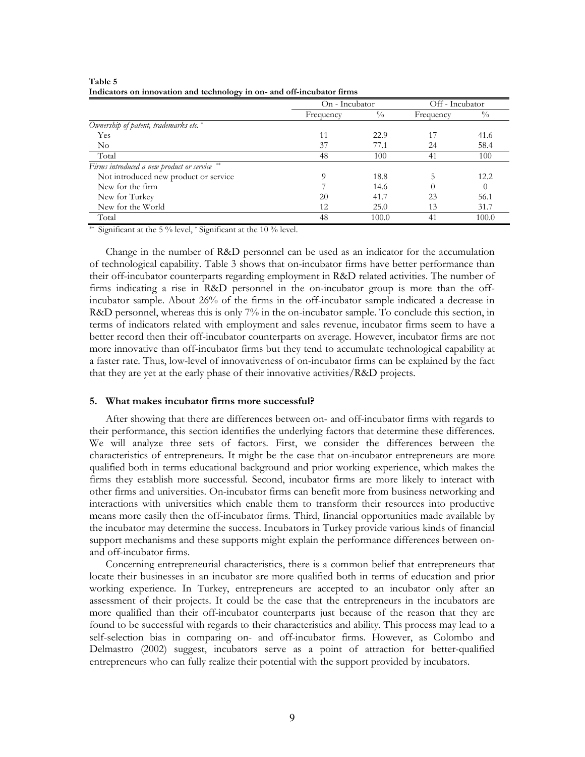|                                              | On - Incubator |             | Off - Incubator |               |
|----------------------------------------------|----------------|-------------|-----------------|---------------|
|                                              | Frequency      | $^{0}/_{0}$ | Frequency       | $\frac{0}{0}$ |
| Ownership of patent, trademarks etc.*        |                |             |                 |               |
| Yes                                          |                | 22.9        |                 | 41.6          |
| No                                           | 37             | 77.1        | 24              | 58.4          |
| Total                                        | 48             | 100         | 41              | 100           |
| Firms introduced a new product or service ** |                |             |                 |               |
| Not introduced new product or service        | $\Omega$       | 18.8        |                 | 12.2          |
| New for the firm                             |                | 14.6        |                 | $\theta$      |
| New for Turkey                               | 20             | 41.7        | 23              | 56.1          |
| New for the World                            | 12             | 25.0        | 13              | 31.7          |
| Total                                        | 48             | 100.0       | 41              | 100.0         |

Table 5 Indicators on innovation and technology in on- and off-incubator firms

<sup>\*\*</sup> Significant at the 5 % level, \* Significant at the 10 % level.

Change in the number of R&D personnel can be used as an indicator for the accumulation of technological capability. Table 3 shows that on-incubator firms have better performance than their off-incubator counterparts regarding employment in R&D related activities. The number of firms indicating a rise in R&D personnel in the on-incubator group is more than the offincubator sample. About 26% of the firms in the off-incubator sample indicated a decrease in R&D personnel, whereas this is only 7% in the on-incubator sample. To conclude this section, in terms of indicators related with employment and sales revenue, incubator firms seem to have a better record then their off-incubator counterparts on average. However, incubator firms are not more innovative than off-incubator firms but they tend to accumulate technological capability at a faster rate. Thus, low-level of innovativeness of on-incubator firms can be explained by the fact that they are yet at the early phase of their innovative activities/R&D projects.

## 5. What makes incubator firms more successful?

After showing that there are differences between on- and off-incubator firms with regards to their performance, this section identifies the underlying factors that determine these differences. We will analyze three sets of factors. First, we consider the differences between the characteristics of entrepreneurs. It might be the case that on-incubator entrepreneurs are more qualified both in terms educational background and prior working experience, which makes the firms they establish more successful. Second, incubator firms are more likely to interact with other firms and universities. On-incubator firms can benefit more from business networking and interactions with universities which enable them to transform their resources into productive means more easily then the off-incubator firms. Third, financial opportunities made available by the incubator may determine the success. Incubators in Turkey provide various kinds of financial support mechanisms and these supports might explain the performance differences between onand off-incubator firms.

Concerning entrepreneurial characteristics, there is a common belief that entrepreneurs that locate their businesses in an incubator are more qualified both in terms of education and prior working experience. In Turkey, entrepreneurs are accepted to an incubator only after an assessment of their projects. It could be the case that the entrepreneurs in the incubators are more qualified than their off-incubator counterparts just because of the reason that they are found to be successful with regards to their characteristics and ability. This process may lead to a self-selection bias in comparing on- and off-incubator firms. However, as Colombo and Delmastro (2002) suggest, incubators serve as a point of attraction for better-qualified entrepreneurs who can fully realize their potential with the support provided by incubators.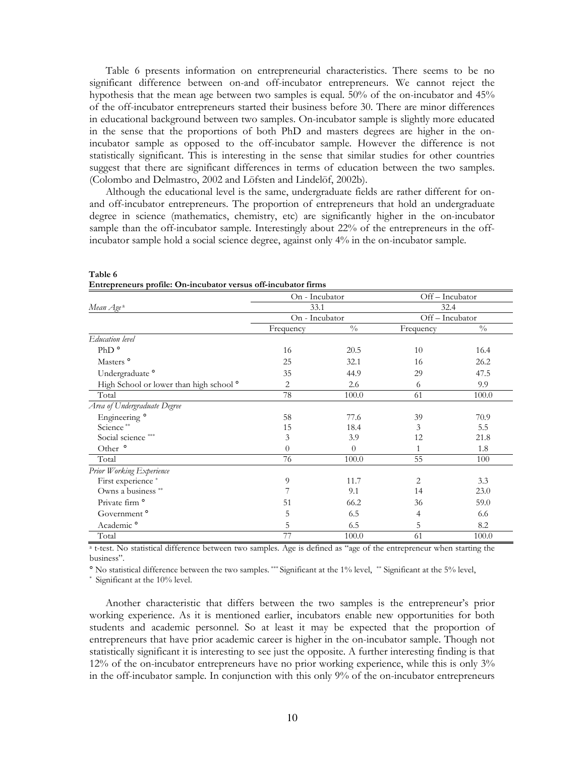Table 6 presents information on entrepreneurial characteristics. There seems to be no significant difference between on-and off-incubator entrepreneurs. We cannot reject the hypothesis that the mean age between two samples is equal. 50% of the on-incubator and 45% of the off-incubator entrepreneurs started their business before 30. There are minor differences in educational background between two samples. On-incubator sample is slightly more educated in the sense that the proportions of both PhD and masters degrees are higher in the onincubator sample as opposed to the off-incubator sample. However the difference is not statistically significant. This is interesting in the sense that similar studies for other countries suggest that there are significant differences in terms of education between the two samples. (Colombo and Delmastro, 2002 and Löfsten and Lindelöf, 2002b).

Although the educational level is the same, undergraduate fields are rather different for onand off-incubator entrepreneurs. The proportion of entrepreneurs that hold an undergraduate degree in science (mathematics, chemistry, etc) are significantly higher in the on-incubator sample than the off-incubator sample. Interestingly about 22% of the entrepreneurs in the offincubator sample hold a social science degree, against only 4% in the on-incubator sample.

|                                                    | On - Incubator |                           | Off-Incubator |               |  |
|----------------------------------------------------|----------------|---------------------------|---------------|---------------|--|
| Mean Age <sup>a</sup>                              | 33.1           |                           | 32.4          |               |  |
|                                                    | On - Incubator |                           | Off-Incubator |               |  |
|                                                    | Frequency      | $\sqrt[0]{\phantom{0}}_0$ | Frequency     | $\frac{0}{0}$ |  |
| Education level                                    |                |                           |               |               |  |
| PhD <sup>o</sup>                                   | 16             | 20.5                      | 10            | 16.4          |  |
| Masters <sup>o</sup>                               | 25             | 32.1                      | 16            | 26.2          |  |
| Undergraduate <sup>o</sup>                         | 35             | 44.9                      | 29            | 47.5          |  |
| High School or lower than high school <sup>o</sup> | $\overline{c}$ | 2.6                       | 6             | 9.9           |  |
| Total                                              | 78             | 100.0                     | 61            | 100.0         |  |
| Area of Undergraduate Degree                       |                |                           |               |               |  |
| Engineering <sup>o</sup>                           | 58             | 77.6                      | 39            | 70.9          |  |
| Science**                                          | 15             | 18.4                      | 3             | 5.5           |  |
| Social science ***                                 | 3              | 3.9                       | 12            | 21.8          |  |
| Other <sup>o</sup>                                 | $\theta$       | $\theta$                  | 1             | 1.8           |  |
| Total                                              | 76             | 100.0                     | 55            | 100           |  |
| Prior Working Experience                           |                |                           |               |               |  |
| First experience *                                 | 9              | 11.7                      | 2             | 3.3           |  |
| Owns a business **                                 | 7              | 9.1                       | 14            | 23.0          |  |
| Private firm <sup>o</sup>                          | 51             | 66.2                      | 36            | 59.0          |  |
| Government <sup>o</sup>                            | 5              | 6.5                       | 4             | 6.6           |  |
| Academic <sup>o</sup>                              | 5              | 6.5                       | 5             | 8.2           |  |
| Total                                              | 77             | 100.0                     | 61            | 100.0         |  |

## Table 6 Entrepreneurs profile: On-incubator versus off-incubator firms

<sup>a</sup> t-test. No statistical difference between two samples. Age is defined as "age of the entrepreneur when starting the business".

° No statistical difference between the two samples. \*\*\* Significant at the 1% level, \*\* Significant at the 5% level,

\* Significant at the 10% level.

Another characteristic that differs between the two samples is the entrepreneur's prior working experience. As it is mentioned earlier, incubators enable new opportunities for both students and academic personnel. So at least it may be expected that the proportion of entrepreneurs that have prior academic career is higher in the on-incubator sample. Though not statistically significant it is interesting to see just the opposite. A further interesting finding is that 12% of the on-incubator entrepreneurs have no prior working experience, while this is only 3% in the off-incubator sample. In conjunction with this only 9% of the on-incubator entrepreneurs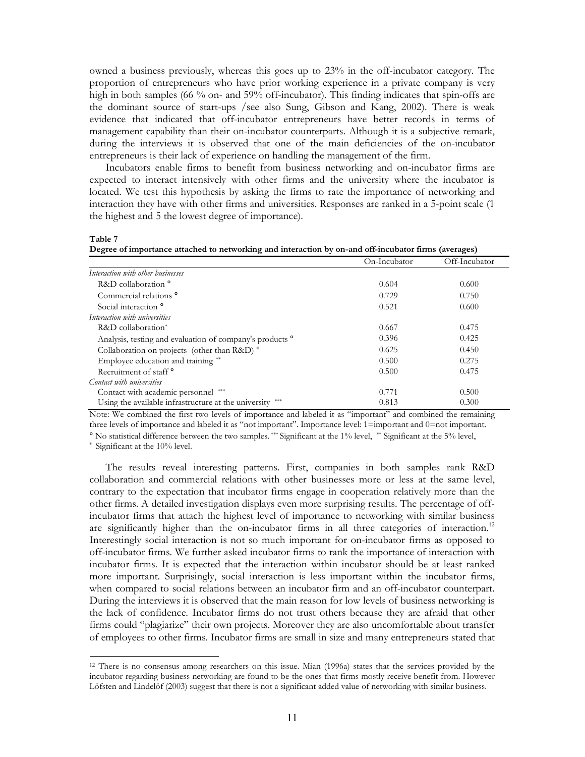owned a business previously, whereas this goes up to 23% in the off-incubator category. The proportion of entrepreneurs who have prior working experience in a private company is very high in both samples (66 % on- and 59% off-incubator). This finding indicates that spin-offs are the dominant source of start-ups / see also Sung, Gibson and Kang, 2002). There is weak evidence that indicated that off-incubator entrepreneurs have better records in terms of management capability than their on-incubator counterparts. Although it is a subjective remark, during the interviews it is observed that one of the main deficiencies of the on-incubator entrepreneurs is their lack of experience on handling the management of the firm.

Incubators enable firms to benefit from business networking and on-incubator firms are expected to interact intensively with other firms and the university where the incubator is located. We test this hypothesis by asking the firms to rate the importance of networking and interaction they have with other firms and universities. Responses are ranked in a 5-point scale (1) the highest and 5 the lowest degree of importance).

Table 7

|  | Degree of importance attached to networking and interaction by on-and off-incubator firms (averages) |
|--|------------------------------------------------------------------------------------------------------|
|  |                                                                                                      |

|                                                                     | On-Incubator | Off-Incubator |
|---------------------------------------------------------------------|--------------|---------------|
| Interaction with other businesses                                   |              |               |
| R&D collaboration °                                                 | 0.604        | 0.600         |
| Commercial relations <sup>o</sup>                                   | 0.729        | 0.750         |
| Social interaction <sup>°</sup>                                     | 0.521        | 0.600         |
| Interaction with universities                                       |              |               |
| $R&D$ collaboration <sup>*</sup>                                    | 0.667        | 0.475         |
| Analysis, testing and evaluation of company's products <sup>o</sup> | 0.396        | 0.425         |
| Collaboration on projects (other than R&D) <sup>°</sup>             | 0.625        | 0.450         |
| Employee education and training **                                  | 0.500        | 0.275         |
| Recruitment of staff <sup>o</sup>                                   | 0.500        | 0.475         |
| Contact with universities                                           |              |               |
| Contact with academic personnel ***                                 | 0.771        | 0.500         |
| Using the available infrastructure at the university                | 0.813        | 0.300         |

Note: We combined the first two levels of importance and labeled it as "important" and combined the remaining three levels of importance and labeled it as "not important". Importance level: 1=important and 0=not important. ° No statistical difference between the two samples. \*\*\* Significant at the 1% level, \*\* Significant at the 5% level,

\* Significant at the 10% level.

The results reveal interesting patterns. First, companies in both samples rank R&D collaboration and commercial relations with other businesses more or less at the same level, contrary to the expectation that incubator firms engage in cooperation relatively more than the other firms. A detailed investigation displays even more surprising results. The percentage of offincubator firms that attach the highest level of importance to networking with similar business are significantly higher than the on-incubator firms in all three categories of interaction.<sup>12</sup> Interestingly social interaction is not so much important for on-incubator firms as opposed to off-incubator firms. We further asked incubator firms to rank the importance of interaction with incubator firms. It is expected that the interaction within incubator should be at least ranked more important. Surprisingly, social interaction is less important within the incubator firms, when compared to social relations between an incubator firm and an off-incubator counterpart. During the interviews it is observed that the main reason for low levels of business networking is the lack of confidence. Incubator firms do not trust others because they are afraid that other firms could "plagiarize" their own projects. Moreover they are also uncomfortable about transfer of employees to other firms. Incubator firms are small in size and many entrepreneurs stated that

<sup>&</sup>lt;sup>12</sup> There is no consensus among researchers on this issue. Mian (1996a) states that the services provided by the incubator regarding business networking are found to be the ones that firms mostly receive benefit from. However Löfsten and Lindelöf (2003) suggest that there is not a significant added value of networking with similar business.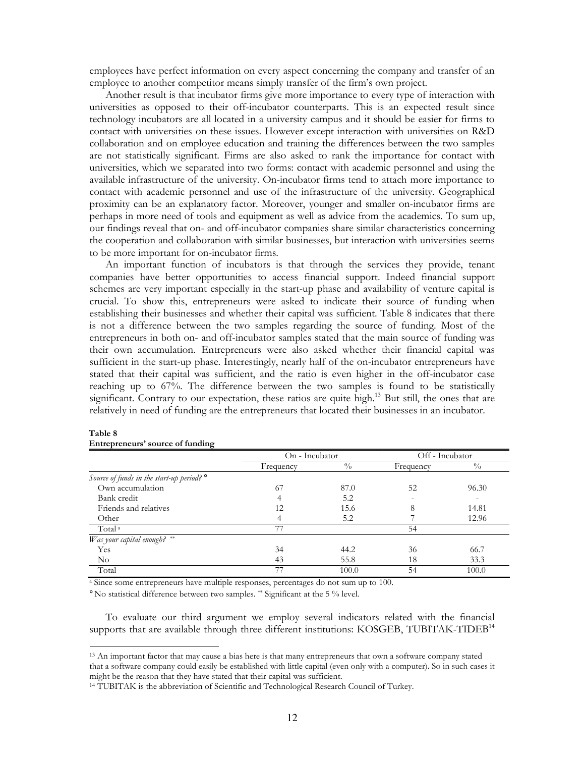employees have perfect information on every aspect concerning the company and transfer of an employee to another competitor means simply transfer of the firm's own project.

Another result is that incubator firms give more importance to every type of interaction with universities as opposed to their off-incubator counterparts. This is an expected result since technology incubators are all located in a university campus and it should be easier for firms to contact with universities on these issues. However except interaction with universities on R&D collaboration and on employee education and training the differences between the two samples are not statistically significant. Firms are also asked to rank the importance for contact with universities, which we separated into two forms: contact with academic personnel and using the available infrastructure of the university. On-incubator firms tend to attach more importance to contact with academic personnel and use of the infrastructure of the university. Geographical proximity can be an explanatory factor. Moreover, younger and smaller on-incubator firms are perhaps in more need of tools and equipment as well as advice from the academics. To sum up, our findings reveal that on- and off-incubator companies share similar characteristics concerning the cooperation and collaboration with similar businesses, but interaction with universities seems to be more important for on-incubator firms.

An important function of incubators is that through the services they provide, tenant companies have better opportunities to access financial support. Indeed financial support schemes are very important especially in the start-up phase and availability of venture capital is crucial. To show this, entrepreneurs were asked to indicate their source of funding when establishing their businesses and whether their capital was sufficient. Table 8 indicates that there is not a difference between the two samples regarding the source of funding. Most of the entrepreneurs in both on- and off-incubator samples stated that the main source of funding was their own accumulation. Entrepreneurs were also asked whether their financial capital was sufficient in the start-up phase. Interestingly, nearly half of the on-incubator entrepreneurs have stated that their capital was sufficient, and the ratio is even higher in the off-incubator case reaching up to 67%. The difference between the two samples is found to be statistically significant. Contrary to our expectation, these ratios are quite high.<sup>13</sup> But still, the ones that are relatively in need of funding are the entrepreneurs that located their businesses in an incubator.

|                                                      | On - Incubator |               | Off - Incubator |               |  |
|------------------------------------------------------|----------------|---------------|-----------------|---------------|--|
|                                                      | Frequency      | $\frac{0}{0}$ | Frequency       | $\frac{0}{0}$ |  |
| Source of funds in the start-up period? <sup>o</sup> |                |               |                 |               |  |
| Own accumulation                                     | 67             | 87.0          | 52              | 96.30         |  |
| Bank credit                                          |                | 5.2           |                 |               |  |
| Friends and relatives                                | 12             | 15.6          | 8               | 14.81         |  |
| Other                                                |                | 5.2           |                 | 12.96         |  |
| Total <sup>a</sup>                                   | 77             |               | 54              |               |  |
| Was your capital enough? **                          |                |               |                 |               |  |
| Yes                                                  | 34             | 44.2          | 36              | 66.7          |  |
| $\rm No$                                             | 43             | 55.8          | 18              | 33.3          |  |
| Total                                                | 77             | 100.0         | 54              | 100.0         |  |

#### Table 8 Entrepreneurs' source of funding

<sup>a</sup> Since some entrepreneurs have multiple responses, percentages do not sum up to 100.

° No statistical difference between two samples. \*\* Significant at the 5 % level.

To evaluate our third argument we employ several indicators related with the financial supports that are available through three different institutions: KOSGEB, TUBITAK-TIDEB<sup>14</sup>

<sup>&</sup>lt;sup>13</sup> An important factor that may cause a bias here is that many entrepreneurs that own a software company stated that a software company could easily be established with little capital (even only with a computer). So in such cases it might be the reason that they have stated that their capital was sufficient.

<sup>&</sup>lt;sup>14</sup> TUBITAK is the abbreviation of Scientific and Technological Research Council of Turkey.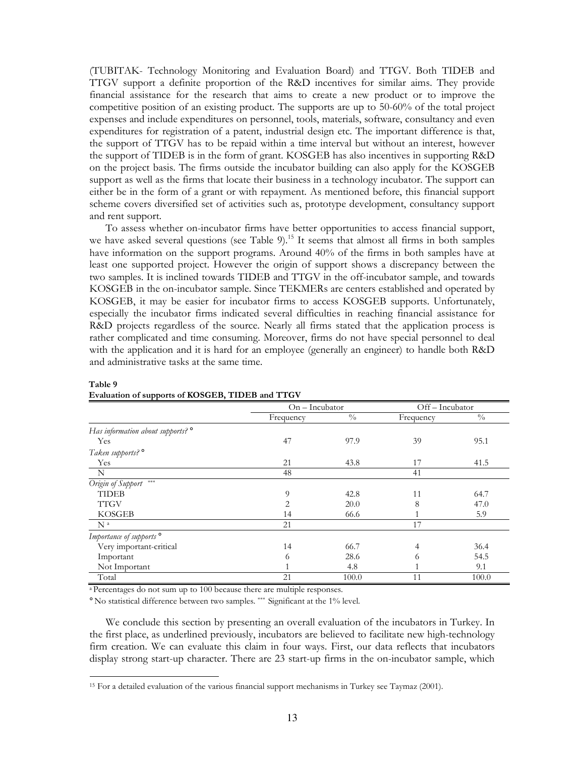(TUBITAK- Technology Monitoring and Evaluation Board) and TTGV. Both TIDEB and TTGV support a definite proportion of the R&D incentives for similar aims. They provide financial assistance for the research that aims to create a new product or to improve the competitive position of an existing product. The supports are up to 50-60% of the total project expenses and include expenditures on personnel, tools, materials, software, consultancy and even expenditures for registration of a patent, industrial design etc. The important difference is that, the support of TTGV has to be repaid within a time interval but without an interest, however the support of TIDEB is in the form of grant. KOSGEB has also incentives in supporting R&D on the project basis. The firms outside the incubator building can also apply for the KOSGEB support as well as the firms that locate their business in a technology incubator. The support can either be in the form of a grant or with repayment. As mentioned before, this financial support scheme covers diversified set of activities such as, prototype development, consultancy support and rent support.

To assess whether on-incubator firms have better opportunities to access financial support, we have asked several questions (see Table 9).<sup>15</sup> It seems that almost all firms in both samples have information on the support programs. Around 40% of the firms in both samples have at least one supported project. However the origin of support shows a discrepancy between the two samples. It is inclined towards TIDEB and TTGV in the off-incubator sample, and towards KOSGEB in the on-incubator sample. Since TEKMERs are centers established and operated by KOSGEB, it may be easier for incubator firms to access KOSGEB supports. Unfortunately, especially the incubator firms indicated several difficulties in reaching financial assistance for R&D projects regardless of the source. Nearly all firms stated that the application process is rather complicated and time consuming. Moreover, firms do not have special personnel to deal with the application and it is hard for an employee (generally an engineer) to handle both R&D and administrative tasks at the same time.

|                                                                              | $On$ – Incubator |               | Off-Incubator |               |  |
|------------------------------------------------------------------------------|------------------|---------------|---------------|---------------|--|
|                                                                              | Frequency        | $\frac{0}{0}$ | Frequency     | $\frac{0}{0}$ |  |
| Has information about supports? °                                            |                  |               |               |               |  |
| Yes                                                                          | 47               | 97.9<br>39    |               | 95.1          |  |
| Taken supports? °                                                            |                  |               |               |               |  |
| Yes                                                                          | 21               | 43.8          | 17            | 41.5          |  |
| N                                                                            | 48               |               | 41            |               |  |
| Origin of Support<br>$ \!\!\mathbf{c} \!\!\mathbf{k}\rangle\! \!\mathbf{c} $ |                  |               |               |               |  |
| <b>TIDEB</b>                                                                 | 9                | 42.8          | 11            | 64.7          |  |
| <b>TTGV</b>                                                                  | 2                | 20.0          | 8             | 47.0          |  |
| <b>KOSGEB</b>                                                                | 14               | 66.6          | -1            | 5.9           |  |
| N <sup>a</sup>                                                               | 21               |               | 17            |               |  |
| Importance of supports <sup>o</sup>                                          |                  |               |               |               |  |
| Very important-critical                                                      | 14               | 66.7          | 4             | 36.4          |  |
| Important                                                                    | 6                | 28.6          | 6             | 54.5          |  |
| Not Important                                                                |                  | 4.8           |               | 9.1           |  |
| Total                                                                        | 21               | 100.0         | 11            | 100.0         |  |

## Table 9 Evaluation of supports of KOSGEB, TIDEB and TTGV

<sup>a</sup>Percentages do not sum up to 100 because there are multiple responses.

° No statistical difference between two samples. \*\*\* Significant at the 1% level.

We conclude this section by presenting an overall evaluation of the incubators in Turkey. In the first place, as underlined previously, incubators are believed to facilitate new high-technology firm creation. We can evaluate this claim in four ways. First, our data reflects that incubators display strong start-up character. There are 23 start-up firms in the on-incubator sample, which

<sup>&</sup>lt;sup>15</sup> For a detailed evaluation of the various financial support mechanisms in Turkey see Taymaz  $(2001)$ .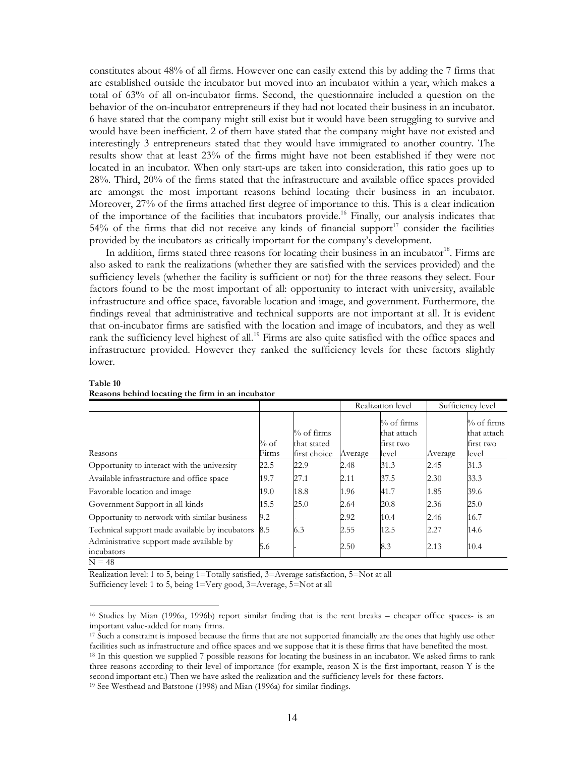constitutes about 48% of all firms. However one can easily extend this by adding the 7 firms that are established outside the incubator but moved into an incubator within a year, which makes a total of 63% of all on-incubator firms. Second, the questionnaire included a question on the behavior of the on-incubator entrepreneurs if they had not located their business in an incubator. 6 have stated that the company might still exist but it would have been struggling to survive and would have been inefficient. 2 of them have stated that the company might have not existed and interestingly 3 entrepreneurs stated that they would have immigrated to another country. The results show that at least 23% of the firms might have not been established if they were not located in an incubator. When only start-ups are taken into consideration, this ratio goes up to 28%. Third, 20% of the firms stated that the infrastructure and available office spaces provided are amongst the most important reasons behind locating their business in an incubator. Moreover, 27% of the firms attached first degree of importance to this. This is a clear indication of the importance of the facilities that incubators provide.<sup>16</sup> Finally, our analysis indicates that 54% of the firms that did not receive any kinds of financial support<sup>17</sup> consider the facilities provided by the incubators as critically important for the company's development.

In addition, firms stated three reasons for locating their business in an incubator<sup>18</sup>. Firms are also asked to rank the realizations (whether they are satisfied with the services provided) and the sufficiency levels (whether the facility is sufficient or not) for the three reasons they select. Four factors found to be the most important of all: opportunity to interact with university, available infrastructure and office space, favorable location and image, and government. Furthermore, the findings reveal that administrative and technical supports are not important at all. It is evident that on-incubator firms are satisfied with the location and image of incubators, and they as well rank the sufficiency level highest of all.<sup>19</sup> Firms are also quite satisfied with the office spaces and infrastructure provided. However they ranked the sufficiency levels for these factors slightly lower.

|                                                                    |                  |                                              |         | Realization level                                 |         | Sufficiency level                                  |
|--------------------------------------------------------------------|------------------|----------------------------------------------|---------|---------------------------------------------------|---------|----------------------------------------------------|
| Reasons                                                            | $\%$ of<br>Firms | $\%$ of firms<br>that stated<br>first choice | Average | $%$ of firms<br>that attach<br>first two<br>level | Average | $\%$ of firms<br>that attach<br>first two<br>level |
| Opportunity to interact with the university                        | 22.5             | 22.9                                         | 2.48    | 31.3                                              | 2.45    | 31.3                                               |
| Available infrastructure and office space                          | 19.7             | 27.1                                         | 2.11    | 37.5                                              | 2.30    | 33.3                                               |
| Favorable location and image                                       | 19.0             | 18.8                                         | 1.96    | 41.7                                              | 1.85    | 39.6                                               |
| Government Support in all kinds                                    | 15.5             | 25.0                                         | 2.64    | 20.8                                              | 2.36    | 25.0                                               |
| Opportunity to network with similar business                       | 9.2              |                                              | 2.92    | 10.4                                              | 2.46    | 16.7                                               |
| Technical support made available by incubators                     | 8.5              | 6.3                                          | 2.55    | 12.5                                              | 2.27    | 14.6                                               |
| Administrative support made available by<br>incubators<br>$N = 40$ | 5.6              |                                              | 2.50    | 8.3                                               | 2.13    | 10.4                                               |

#### Table 10 Reasons behind locating the firm in an incubator

Realization level: 1 to 5, being 1=Totally satisfied, 3=Average satisfaction, 5=Not at all

Sufficiency level: 1 to 5, being 1=Very good, 3=Average, 5=Not at all

<sup>&</sup>lt;sup>16</sup> Studies by Mian (1996a, 1996b) report similar finding that is the rent breaks – cheaper office spaces- is an important value-added for many firms.

<sup>&</sup>lt;sup>17</sup> Such a constraint is imposed because the firms that are not supported financially are the ones that highly use other facilities such as infrastructure and office spaces and we suppose that it is these firms that have benefited the most. <sup>18</sup> In this question we supplied 7 possible reasons for locating the business in an incubator. We asked firms to rank three reasons according to their level of importance (for example, reason X is the first important, reason Y is the second important etc.) Then we have asked the realization and the sufficiency levels for these factors. <sup>19</sup> See Westhead and Batstone (1998) and Mian (1996a) for similar findings.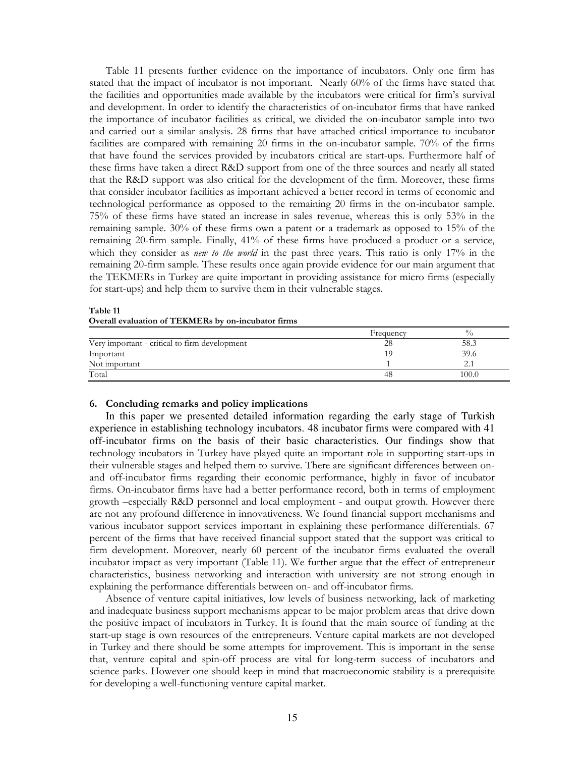Table 11 presents further evidence on the importance of incubators. Only one firm has stated that the impact of incubator is not important. Nearly 60% of the firms have stated that the facilities and opportunities made available by the incubators were critical for firm's survival and development. In order to identify the characteristics of on-incubator firms that have ranked the importance of incubator facilities as critical, we divided the on-incubator sample into two and carried out a similar analysis. 28 firms that have attached critical importance to incubator facilities are compared with remaining 20 firms in the on-incubator sample. 70% of the firms that have found the services provided by incubators critical are start-ups. Furthermore half of these firms have taken a direct R&D support from one of the three sources and nearly all stated that the R&D support was also critical for the development of the firm. Moreover, these firms that consider incubator facilities as important achieved a better record in terms of economic and technological performance as opposed to the remaining 20 firms in the on-incubator sample. 75% of these firms have stated an increase in sales revenue, whereas this is only 53% in the remaining sample. 30% of these firms own a patent or a trademark as opposed to 15% of the remaining 20-firm sample. Finally, 41% of these firms have produced a product or a service, which they consider as new to the world in the past three years. This ratio is only 17% in the remaining 20-firm sample. These results once again provide evidence for our main argument that the TEKMERs in Turkey are quite important in providing assistance for micro firms (especially for start-ups) and help them to survive them in their vulnerable stages.

## Table 11 Overall evaluation of TEKMERs by on-incubator firms

|                                               | Frequency | $^{0}/_{0}$ |
|-----------------------------------------------|-----------|-------------|
| Very important - critical to firm development | 28        | 58.3        |
| Important                                     | 10        | 39.6        |
| Not important                                 |           |             |
| Total                                         | 48        | 100.0       |

## 6. Concluding remarks and policy implications

In this paper we presented detailed information regarding the early stage of Turkish experience in establishing technology incubators. 48 incubator firms were compared with 41 off-incubator firms on the basis of their basic characteristics. Our findings show that technology incubators in Turkey have played quite an important role in supporting start-ups in their vulnerable stages and helped them to survive. There are significant differences between onand off-incubator firms regarding their economic performance, highly in favor of incubator firms. On-incubator firms have had a better performance record, both in terms of employment growth -especially R&D personnel and local employment - and output growth. However there are not any profound difference in innovativeness. We found financial support mechanisms and various incubator support services important in explaining these performance differentials. 67 percent of the firms that have received financial support stated that the support was critical to firm development. Moreover, nearly 60 percent of the incubator firms evaluated the overall incubator impact as very important (Table 11). We further argue that the effect of entrepreneur characteristics, business networking and interaction with university are not strong enough in explaining the performance differentials between on- and off-incubator firms.

Absence of venture capital initiatives, low levels of business networking, lack of marketing and inadequate business support mechanisms appear to be major problem areas that drive down the positive impact of incubators in Turkey. It is found that the main source of funding at the start-up stage is own resources of the entrepreneurs. Venture capital markets are not developed in Turkey and there should be some attempts for improvement. This is important in the sense that, venture capital and spin-off process are vital for long-term success of incubators and science parks. However one should keep in mind that macroeconomic stability is a prerequisite for developing a well-functioning venture capital market.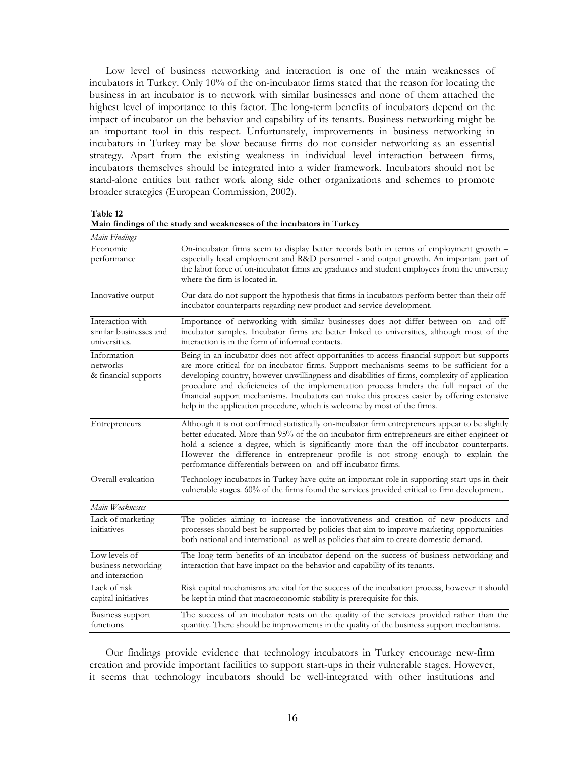Low level of business networking and interaction is one of the main weaknesses of incubators in Turkey. Only 10% of the on-incubator firms stated that the reason for locating the business in an incubator is to network with similar businesses and none of them attached the highest level of importance to this factor. The long-term benefits of incubators depend on the impact of incubator on the behavior and capability of its tenants. Business networking might be an important tool in this respect. Unfortunately, improvements in business networking in incubators in Turkey may be slow because firms do not consider networking as an essential strategy. Apart from the existing weakness in individual level interaction between firms, incubators themselves should be integrated into a wider framework. Incubators should not be stand-alone entities but rather work along side other organizations and schemes to promote broader strategies (European Commission, 2002).

Table 12

| Main Findings                                               |                                                                                                                                                                                                                                                                                                                                                                                                                                                                                                                                                                    |
|-------------------------------------------------------------|--------------------------------------------------------------------------------------------------------------------------------------------------------------------------------------------------------------------------------------------------------------------------------------------------------------------------------------------------------------------------------------------------------------------------------------------------------------------------------------------------------------------------------------------------------------------|
| Economic<br>performance                                     | On-incubator firms seem to display better records both in terms of employment growth -<br>especially local employment and R&D personnel - and output growth. An important part of<br>the labor force of on-incubator firms are graduates and student employees from the university<br>where the firm is located in.                                                                                                                                                                                                                                                |
| Innovative output                                           | Our data do not support the hypothesis that firms in incubators perform better than their off-<br>incubator counterparts regarding new product and service development.                                                                                                                                                                                                                                                                                                                                                                                            |
| Interaction with<br>similar businesses and<br>universities. | Importance of networking with similar businesses does not differ between on- and off-<br>incubator samples. Incubator firms are better linked to universities, although most of the<br>interaction is in the form of informal contacts.                                                                                                                                                                                                                                                                                                                            |
| Information<br>networks<br>& financial supports             | Being in an incubator does not affect opportunities to access financial support but supports<br>are more critical for on-incubator firms. Support mechanisms seems to be sufficient for a<br>developing country, however unwillingness and disabilities of firms, complexity of application<br>procedure and deficiencies of the implementation process hinders the full impact of the<br>financial support mechanisms. Incubators can make this process easier by offering extensive<br>help in the application procedure, which is welcome by most of the firms. |
| Entrepreneurs                                               | Although it is not confirmed statistically on-incubator firm entrepreneurs appear to be slightly<br>better educated. More than 95% of the on-incubator firm entrepreneurs are either engineer or<br>hold a science a degree, which is significantly more than the off-incubator counterparts.<br>However the difference in entrepreneur profile is not strong enough to explain the<br>performance differentials between on- and off-incubator firms.                                                                                                              |
| Overall evaluation                                          | Technology incubators in Turkey have quite an important role in supporting start-ups in their<br>vulnerable stages. 60% of the firms found the services provided critical to firm development.                                                                                                                                                                                                                                                                                                                                                                     |
| Main Weaknesses                                             |                                                                                                                                                                                                                                                                                                                                                                                                                                                                                                                                                                    |
| Lack of marketing<br>initiatives                            | The policies aiming to increase the innovativeness and creation of new products and<br>processes should best be supported by policies that aim to improve marketing opportunities -<br>both national and international- as well as policies that aim to create domestic demand.                                                                                                                                                                                                                                                                                    |
| Low levels of<br>business networking<br>and interaction     | The long-term benefits of an incubator depend on the success of business networking and<br>interaction that have impact on the behavior and capability of its tenants.                                                                                                                                                                                                                                                                                                                                                                                             |
| Lack of risk<br>capital initiatives                         | Risk capital mechanisms are vital for the success of the incubation process, however it should<br>be kept in mind that macroeconomic stability is prerequisite for this.                                                                                                                                                                                                                                                                                                                                                                                           |
| Business support<br>functions                               | The success of an incubator rests on the quality of the services provided rather than the<br>quantity. There should be improvements in the quality of the business support mechanisms.                                                                                                                                                                                                                                                                                                                                                                             |

Main findings of the study and weaknesses of the incubators in Turkey

Our findings provide evidence that technology incubators in Turkey encourage new-firm creation and provide important facilities to support start-ups in their vulnerable stages. However, it seems that technology incubators should be well-integrated with other institutions and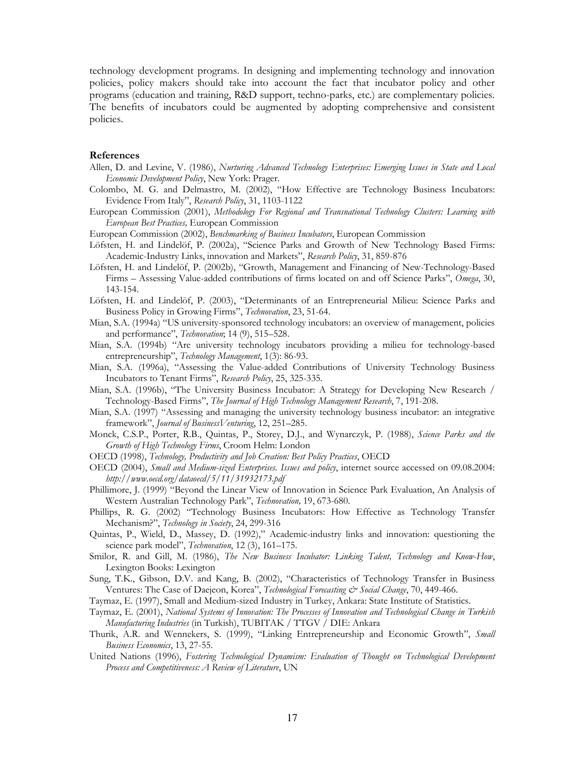technology development programs. In designing and implementing technology and innovation policies, policy makers should take into account the fact that incubator policy and other programs (education and training, R&D support, techno-parks, etc.) are complementary policies. The benefits of incubators could be augmented by adopting comprehensive and consistent policies.

## References

- Allen, D. and Levine, V. (1986), Nurturing Advanced Technology Enterprises: Emerging Issues in State and Local Economic Development Policy, New York: Prager.
- Colombo, M. G. and Delmastro, M. (2002), "How Effective are Technology Business Incubators: Evidence From Italy", Research Policy, 31, 1103-1122
- European Commission (2001), Methodology For Regional and Transnational Technology Clusters: Learning with European Best Practices, European Commission
- European Commission (2002), Benchmarking of Business Incubators, European Commission
- Löfsten, H. and Lindelöf, P. (2002a), "Science Parks and Growth of New Technology Based Firms: Academic-Industry Links, innovation and Markets", Research Policy, 31, 859-876
- Löfsten, H. and Lindelöf, P. (2002b), "Growth, Management and Financing of New-Technology-Based Firms - Assessing Value-added contributions of firms located on and off Science Parks", Omega, 30, 143-154.
- Löfsten, H. and Lindelöf, P. (2003), "Determinants of an Entrepreneurial Milieu: Science Parks and Business Policy in Growing Firms", Technovation, 23, 51-64.
- Mian, S.A. (1994a) "US university-sponsored technology incubators: an overview of management, policies and performance", Technovation; 14 (9), 515-528.
- Mian, S.A. (1994b) "Are university technology incubators providing a milieu for technology-based entrepreneurship", Technology Management, 1(3): 86-93.
- Mian, S.A. (1996a), "Assessing the Value-added Contributions of University Technology Business Incubators to Tenant Firms", Research Policy, 25, 325-335.
- Mian, S.A. (1996b), "The University Business Incubator: A Strategy for Developing New Research / Technology-Based Firms", The Journal of High Technology Management Research, 7, 191-208.
- Mian, S.A. (1997) "Assessing and managing the university technology business incubator: an integrative framework", Journal of Business Venturing, 12, 251-285.
- Monck, C.S.P., Porter, R.B., Quintas, P., Storey, D.J., and Wynarczyk, P. (1988), Science Parks and the Growth of High Technology Firms, Croom Helm: London
- OECD (1998), Technology, Productivity and Job Creation: Best Policy Practices, OECD
- OECD (2004), Small and Medium-sized Enterprises. Issues and policy, internet source accessed on 09.08.2004: http://www.oecd.org/dataoecd/5/11/31932173.pdf
- Phillimore, J. (1999) "Beyond the Linear View of Innovation in Science Park Evaluation, An Analysis of Western Australian Technology Park", Technovation, 19, 673-680.
- Phillips, R. G. (2002) "Technology Business Incubators: How Effective as Technology Transfer Mechanism?", Technology in Society, 24, 299-316
- Quintas, P., Wield, D., Massey, D. (1992)," Academic-industry links and innovation: questioning the science park model", Technovation, 12 (3), 161-175.
- Smilor, R. and Gill, M. (1986), The New Business Incubator: Linking Talent, Technology and Know-How, Lexington Books: Lexington
- Sung, T.K., Gibson, D.V. and Kang, B. (2002), "Characteristics of Technology Transfer in Business Ventures: The Case of Daejeon, Korea", Technological Forecasting & Social Change, 70, 449-466.
- Taymaz, E. (1997), Small and Medium-sized Industry in Turkey, Ankara: State Institute of Statistics.
- Taymaz, E. (2001), National Systems of Innovation: The Processes of Innovation and Technological Change in Turkish Manufacturing Industries (in Turkish), TUBITAK / TTGV / DIE: Ankara
- Thurik, A.R. and Wennekers, S. (1999), "Linking Entrepreneurship and Economic Growth", Small Business Economics, 13, 27-55.
- United Nations (1996), Fostering Technological Dynamism: Evaluation of Thought on Technological Development Process and Competitiveness: A Review of Literature, UN